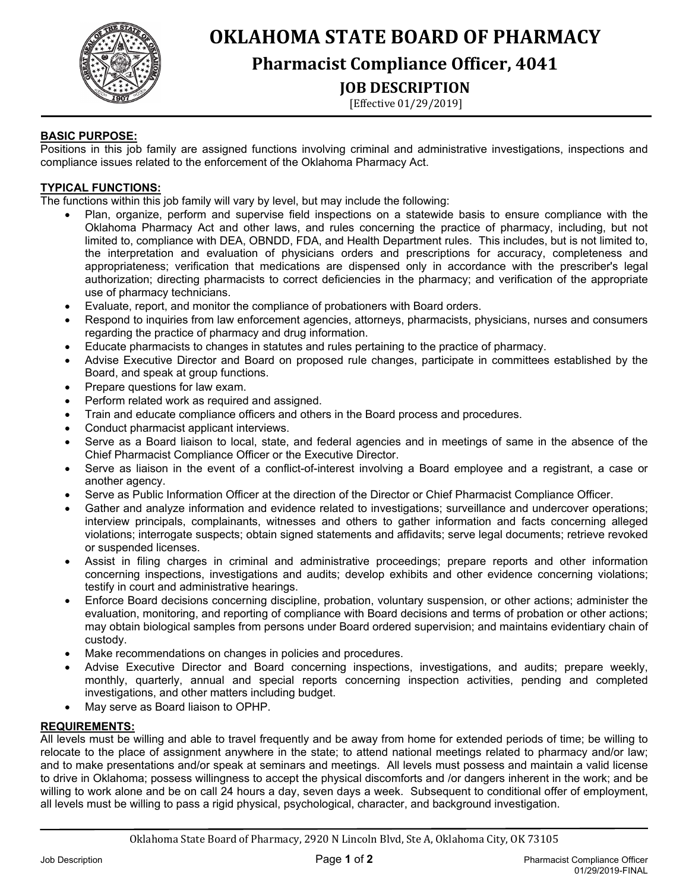

# **OKLAHOMA STATE BOARD OF PHARMACY**

# **Pharmacist Compliance Officer, 4041**

# **JOB DESCRIPTION**

[Effective 01/29/2019]

# **BASIC PURPOSE:**

j

Positions in this job family are assigned functions involving criminal and administrative investigations, inspections and compliance issues related to the enforcement of the Oklahoma Pharmacy Act.

# **TYPICAL FUNCTIONS:**

The functions within this job family will vary by level, but may include the following:

- Plan, organize, perform and supervise field inspections on a statewide basis to ensure compliance with the Oklahoma Pharmacy Act and other laws, and rules concerning the practice of pharmacy, including, but not limited to, compliance with DEA, OBNDD, FDA, and Health Department rules. This includes, but is not limited to, the interpretation and evaluation of physicians orders and prescriptions for accuracy, completeness and appropriateness; verification that medications are dispensed only in accordance with the prescriber's legal authorization; directing pharmacists to correct deficiencies in the pharmacy; and verification of the appropriate use of pharmacy technicians.
- Evaluate, report, and monitor the compliance of probationers with Board orders.
- Respond to inquiries from law enforcement agencies, attorneys, pharmacists, physicians, nurses and consumers regarding the practice of pharmacy and drug information.
- Educate pharmacists to changes in statutes and rules pertaining to the practice of pharmacy.
- Advise Executive Director and Board on proposed rule changes, participate in committees established by the Board, and speak at group functions.
- Prepare questions for law exam.
- Perform related work as required and assigned.
- Train and educate compliance officers and others in the Board process and procedures.
- Conduct pharmacist applicant interviews.
- Serve as a Board liaison to local, state, and federal agencies and in meetings of same in the absence of the Chief Pharmacist Compliance Officer or the Executive Director.
- Serve as liaison in the event of a conflict-of-interest involving a Board employee and a registrant, a case or another agency.
- Serve as Public Information Officer at the direction of the Director or Chief Pharmacist Compliance Officer.
- Gather and analyze information and evidence related to investigations; surveillance and undercover operations; interview principals, complainants, witnesses and others to gather information and facts concerning alleged violations; interrogate suspects; obtain signed statements and affidavits; serve legal documents; retrieve revoked or suspended licenses.
- Assist in filing charges in criminal and administrative proceedings; prepare reports and other information concerning inspections, investigations and audits; develop exhibits and other evidence concerning violations; testify in court and administrative hearings.
- Enforce Board decisions concerning discipline, probation, voluntary suspension, or other actions; administer the evaluation, monitoring, and reporting of compliance with Board decisions and terms of probation or other actions; may obtain biological samples from persons under Board ordered supervision; and maintains evidentiary chain of custody.
- Make recommendations on changes in policies and procedures.
- Advise Executive Director and Board concerning inspections, investigations, and audits; prepare weekly, monthly, quarterly, annual and special reports concerning inspection activities, pending and completed investigations, and other matters including budget.
- May serve as Board liaison to OPHP.

### **REQUIREMENTS:**

All levels must be willing and able to travel frequently and be away from home for extended periods of time; be willing to relocate to the place of assignment anywhere in the state; to attend national meetings related to pharmacy and/or law; and to make presentations and/or speak at seminars and meetings. All levels must possess and maintain a valid license to drive in Oklahoma; possess willingness to accept the physical discomforts and /or dangers inherent in the work; and be willing to work alone and be on call 24 hours a day, seven days a week. Subsequent to conditional offer of employment, all levels must be willing to pass a rigid physical, psychological, character, and background investigation.